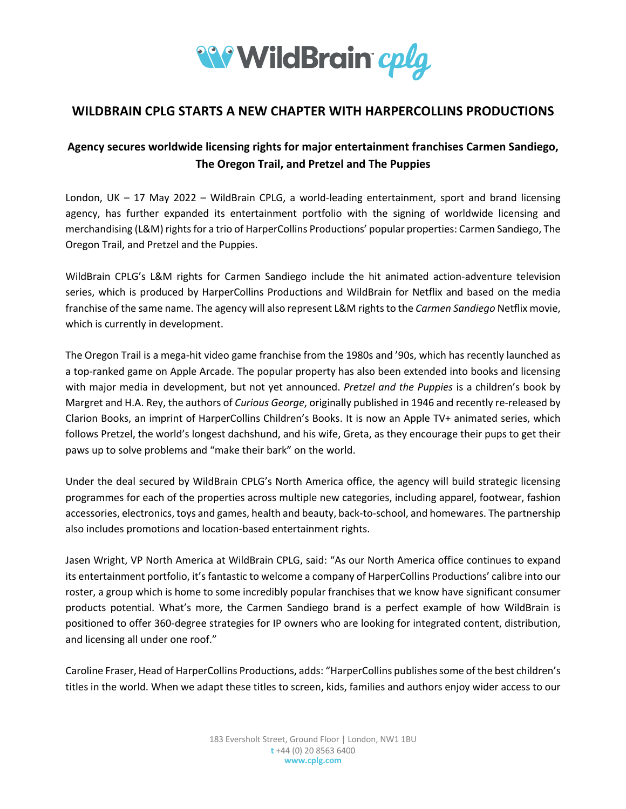

# **WILDBRAIN CPLG STARTS A NEW CHAPTER WITH HARPERCOLLINS PRODUCTIONS**

# **Agency secures worldwide licensing rights for major entertainment franchises Carmen Sandiego, The Oregon Trail, and Pretzel and The Puppies**

London, UK – 17 May 2022 – WildBrain CPLG, a world-leading entertainment, sport and brand licensing agency, has further expanded its entertainment portfolio with the signing of worldwide licensing and merchandising (L&M) rights for a trio of HarperCollins Productions' popular properties: Carmen Sandiego, The Oregon Trail, and Pretzel and the Puppies.

WildBrain CPLG's L&M rights for Carmen Sandiego include the hit animated action-adventure television series, which is produced by HarperCollins Productions and WildBrain for Netflix and based on the media franchise of the same name. The agency will also represent L&M rights to the *Carmen Sandiego* Netflix movie, which is currently in development.

The Oregon Trail is a mega-hit video game franchise from the 1980s and '90s, which has recently launched as a top-ranked game on Apple Arcade. The popular property has also been extended into books and licensing with major media in development, but not yet announced. *Pretzel and the Puppies* is a children's book by Margret and H.A. Rey, the authors of *Curious George*, originally published in 1946 and recently re-released by Clarion Books, an imprint of HarperCollins Children's Books. It is now an Apple TV+ animated series, which follows Pretzel, the world's longest dachshund, and his wife, Greta, as they encourage their pups to get their paws up to solve problems and "make their bark" on the world.

Under the deal secured by WildBrain CPLG's North America office, the agency will build strategic licensing programmes for each of the properties across multiple new categories, including apparel, footwear, fashion accessories, electronics, toys and games, health and beauty, back-to-school, and homewares. The partnership also includes promotions and location-based entertainment rights.

Jasen Wright, VP North America at WildBrain CPLG, said: "As our North America office continues to expand its entertainment portfolio, it's fantastic to welcome a company of HarperCollins Productions' calibre into our roster, a group which is home to some incredibly popular franchises that we know have significant consumer products potential. What's more, the Carmen Sandiego brand is a perfect example of how WildBrain is positioned to offer 360-degree strategies for IP owners who are looking for integrated content, distribution, and licensing all under one roof."

Caroline Fraser, Head of HarperCollins Productions, adds: "HarperCollins publishes some of the best children's titles in the world. When we adapt these titles to screen, kids, families and authors enjoy wider access to our